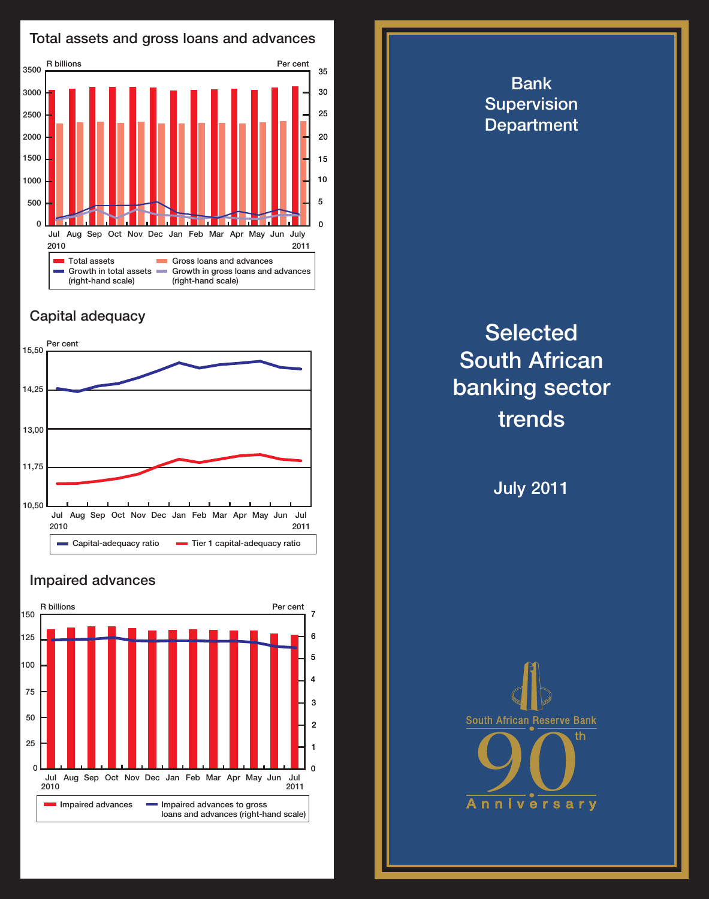

## Capital adequacy



## Impaired advances



Bank **Supervision Department Selected** South African banking sector trends July 2011